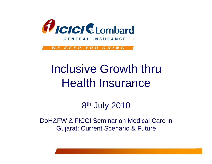

**GENERAL INSURANCE** 

WE KEEP YOU GOING

# Inclusive Growth thru Health Insurance

8th July 2010

DoH&FW & FICCI Seminar on Medical Care in Gujarat: Current Scenario & Future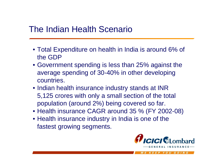### The Indian Health Scenario

- Total Expenditure on health in India is around 6% of the GDP
- Government spending is less than 25% against the average spending of 30-40% in other developing countries.
- Indian health insurance industry stands at INR 5,125 crores with only a small section of the total population (around 2%) being covered so far.
- Health insurance CAGR around 35 % (FY 2002-08)
- Health insurance industry in India is one of the fastest growing segments.

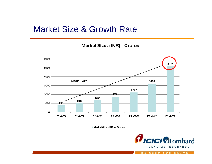#### Market Size & Growth Rate

**Market Size: (INR) - Crores** 



Market Size: (INR) - Crores

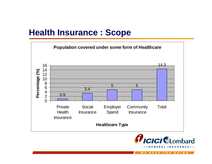# **Health Insurance : Scope**





W E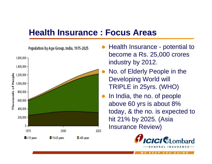#### **Health Insurance : Focus Areas**



- $\bullet$  Health Insurance - potential to become a Rs. 25,000 crores industry by 2012.
- $\bullet$  No. of Elderly People in the Developing World will TRIPLE in 25yrs. (WHO)
- $\bullet$  In India, the no. of people above 60 yrs is about 8% today, & the no. is expected to hit 21% by 2025. (Asia Insurance Review)



EP YOU GOIN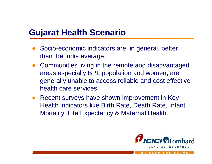# **Gujarat Health Scenario**

- $\bullet$  Socio-economic indicators are, in general, better than the India average.
- Communities living in the remote and disadvantaged areas especially BPL population and women, are generally unable to access reliable and cost effective health care services.
- $\bullet$  Recent surveys have shown improvement in Key Health indicators like Birth Rate, Death Rate, Infant Mortality, Life Expectancy & Maternal Health.

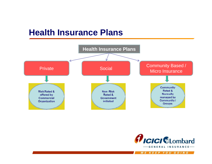### **Health Insurance Plans**



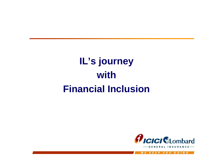# **IL's journey with Financial Inclusion**

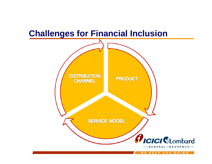# **Challenges for Financial Inclusion**

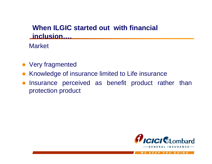#### **When ILGIC started out with financial inclusion….**

**Market** 

- Very fragmented
- $\bullet$ Knowledge of insurance limited to Life insurance
- $\bullet$  Insurance perceived as benefit product rather than protection product

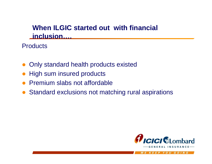#### **When ILGIC started out with financial inclusion….**

**Products** 

- $\bullet$ Only standard health products existed
- $\bullet$ High sum insured products
- $\bullet$ Premium slabs not affordable
- Standard exclusions not matching rural aspirations

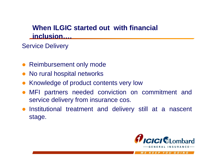#### **When ILGIC started out with financial inclusion….**

#### Service Delivery

- Reimbursement only mode
- $\bullet$ No rural hospital networks
- $\bullet$ Knowledge of product contents very low
- $\bullet$  MFI partners needed conviction on commitment and service delivery from insurance cos.
- $\bullet$  Institutional treatment and delivery still at a nascent stage.

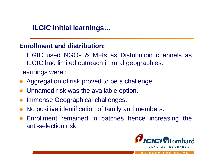#### **ILGIC initial learnings…**

#### **Enrollment and distribution:**

ILGIC used NGOs & MFIs as Distribution channels as ILGIC had limited outreach in rural geographies.

Learnings were :

- Aggregation of risk proved to be a challenge.
- Unnamed risk was the available option.
- $\bullet$ Immense Geographical challenges.
- $\bullet$ No positive identification of family and members.
- Enrollment remained in patches hence increasing the anti-selection risk.



EP YOU GOIN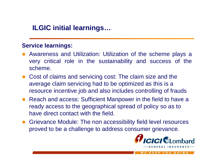#### **ILGIC initial learnings…**

#### **Service learnings:**

- $\bullet$  Awareness and Utilization: Utilization of the scheme plays a very critical role in the sustainability and success of the scheme.
- Cost of claims and servicing cost: The claim size and the average claim servicing had to be optimized as this is a resource incentive job and also includes controlling of frauds
- Reach and access: Sufficient Manpower in the field to have a ready access to the geographical spread of policy so as to have direct contact with the field.
- Grievance Module: The non accessibility field level resources proved to be a challenge to address consumer grievance.

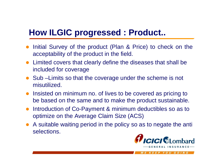# **How ILGIC progressed : Product..**

- Initial Survey of the product (Plan & Price) to check on the acceptability of the product in the field.
- Limited covers that clearly define the diseases that shall be included for coverage
- Sub Limits so that the coverage under the scheme is not misutilized.
- Insisted on minimum no. of lives to be covered as pricing to be based on the same and to make the product sustainable.
- Introduction of Co-Payment & minimum deductibles so as to optimize on the Average Claim Size (ACS)
- A suitable waiting period in the policy so as to negate the anti selections.

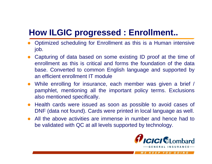# **How ILGIC progressed : Enrollment..**

- $\bullet$  Optimized scheduling for Enrollment as this is a Human intensive job.
- $\bullet$  Capturing of data based on some existing ID proof at the time of enrollment as this is critical and forms the foundation of the data base. Converted to common English language and supported by an efficient enrollment IT module
- While enrolling for insurance, each member was given a brief / pamphlet, mentioning all the important policy terms. Exclusions also mentioned specifically.
- $\bullet$  Health cards were issued as soon as possible to avoid cases of DNF (data not found). Cards were printed in local language as well.
- All the above activities are immense in number and hence had to be validated with QC at all levels supported by technology.

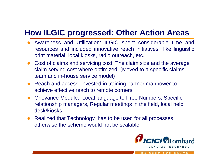## **How ILGIC progressed: Other Action Areas**

- Awareness and Utilization: ILGIC spent considerable time and resources and included innovative reach initiatives like linguistic print material, local kiosks, radio outreach, etc.
- Cost of claims and servicing cost: The claim size and the average claim serving cost where optimized. (Moved to a specific claims team and in-house service model)
- Reach and access: invested in training partner manpower to achieve effective reach to remote corners.
- $\bullet$  Grievance Module: Local language toll free Numbers, Specific relationship managers, Regular meetings in the field, local help desk/kiosks
- Realized that Technology has to be used for all processes otherwise the scheme would not be scalable.

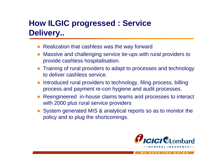# **How ILGIC progressed : Service Delivery..**

- $\bullet$ Realization that cashless was the way forward
- $\bullet$  Massive and challenging service tie-ups with rural providers to provide cashless hospitalisation.
- Training of rural providers to adapt to processes and technology to deliver cashless service.
- $\bullet$  Introduced rural providers to technology, filing process, billing process and payment re-con hygiene and audit processes.
- Reengineered in-house claims teams and processes to interact with 2000 plus rural service providers
- System generated MIS & analytical reports so as to monitor the policy and to plug the shortcomings.

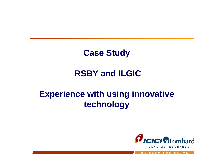# **Case Study**

# **RSBY and ILGIC**

# **Experience with using innovative technology**

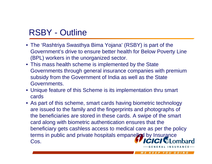# RSBY - Outline

- The 'Rashtriya Swasthya Bima Yojana' (RSBY) is part of the Government's drive to ensure better health for Below Poverty Line (BPL) workers in the unorganized sector.
- This mass health scheme is implemented by the State Governments through general insurance companies with premium subsidy from the Government of India as well as the State Governments.
- Unique feature of this Scheme is its implementation thru smart cards
- As part of this scheme, smart cards having biometric technology are issued to the family and the fingerprints and photographs of the beneficiaries are stored in these cards. A swipe of the smart card along with biometric authentication ensures that the beneficiary gets cashless access to medical care as per the policy terms in public and private hospitals empanelled by Insurance<br>Cos Cos.

EEP YOU GOING

ERAL INSURANC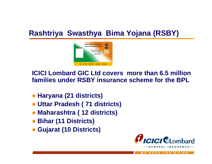### **Rashtriya Swasthya Bima Yojana (RSBY)**



**ICICI Lombard GIC Ltd covers more than 6.5 million families under RSBY insurance scheme for the BPL**

- z **Haryana (21 districts)**
- z **Uttar Pradesh ( 71 districts)**
- z **Maharashtra ( 12 districts)**
- z **Bihar (11 Districts)**
- z **Gujarat (10 Districts)**

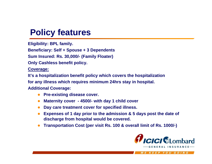# **Policy features**

**Eligibility: BPL family.**

**Beneficiary: Self + Spouse + 3 Dependents**

**Sum Insured: Rs. 30,000/- (Family Floater)**

**Only Cashless benefit policy.**

**Coverage:**

**It's a hospitalization benefit policy which covers the hospitalization** 

**for any illness which requires minimum 24hrs stay in hospital.**

**Additional Coverage:** 

- **Pre-existing disease cover.**
- z **Maternity cover - 4500/- with day 1 child cover**
- **Day care treatment cover for specified illness.**
- **Expenses of 1 day prior to the admission & 5 days post the date of discharge from hospital would be covered.**
- $\bullet$ **Transportation Cost (per visit Rs. 100 & overall limit of Rs. 1000/-)**

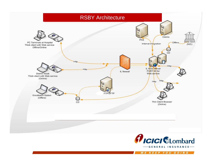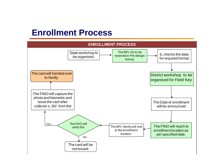#### **Enrollment Process**

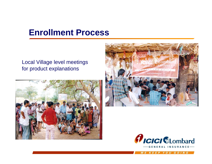### **Enrollment Process**

#### Local Village level meetings for product explanations





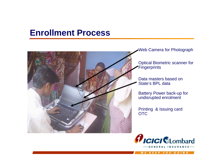#### **Enrollment Process**



Web Camera for Photograph

Optical Biometric scanner for **Fingerprints** 

Data masters based on State's BPL data

Battery Power back-up for undisrupted enrolment

Printing & Issuing card OTC

![](_page_25_Picture_7.jpeg)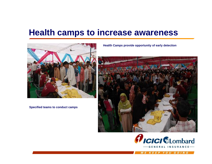### **Health camps to increase awareness**

![](_page_26_Picture_1.jpeg)

**Specified teams to conduct camps**

**Health Camps provide opportunity of early detection**

![](_page_26_Picture_4.jpeg)

![](_page_26_Picture_5.jpeg)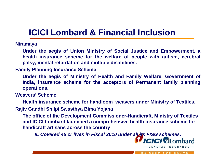# **ICICI Lombard & Financial Inclusion**

#### **Niramaya**

**Under the aegis of Union Ministry of Social Justice and Empowerment, a health insurance scheme for the welfare of people with autism, cerebral palsy, mental retardation and multiple disabilities.** 

#### **Family Planning Insurance Scheme**

**Under the aegis of Ministry of Health and Family Welfare, Government of India, insurance scheme for the acceptors of Permanent family planning operations.** 

#### **Weavers' Scheme**

**Health insurance scheme for handloom weavers under Ministry of Textiles.**

**Rajiv Gandhi Shilpi Swasthya Bima Yojana**

**The office of the Development Commissioner-Handicraft, Ministry of Textiles and ICICI Lombard launched a comprehensive health insurance scheme for handicraft artisans across the country** 

*IL Covered 45 cr lives in Fiscal 2010 under all its FISG schemes***.**

![](_page_27_Picture_10.jpeg)

WE KEEP YOU GOING

NERAL INSURANCE-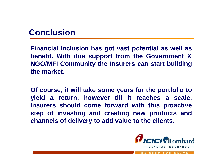### **Conclusion**

**Financial Inclusion has got vast potential as well as benefit. With due support from the Government & NGO/MFI Community the Insurers can start building the market.** 

**Of course, it will take some years for the portfolio to yield a return, however till it reaches a scale, Insurers should come forward with this proactive step of investing and creating new products and channels of delivery to add value to the clients.** 

![](_page_28_Picture_3.jpeg)